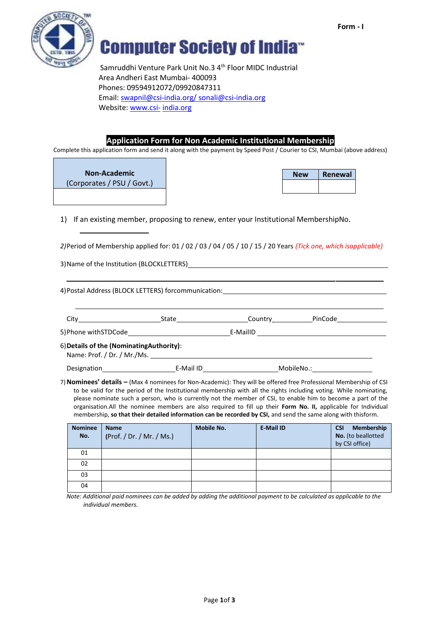



**Computer Society of India**<sup>®</sup>

Samruddhi Venture Park Unit No.3 4<sup>th</sup> Floor MIDC Industrial Area Andheri East Mumbai- 400093 Phones: 09594912072/09920847311 Email: [swapnil@c](mailto:swapnil@)si-india.org/ [sonali@csi-india.org](mailto:sonali@csi-india.org) Website[: www.csi-](http://www.csi-/) india.org

### **Application Form for Non Academic Institutional Membership**

Complete this application form and send it along with the payment by Speed Post / Courier to CSI, Mumbai (above address)

### **Non-Academic**

(Corporates / PSU / Govt.)

| <b>New</b> | Renewal |  |  |  |
|------------|---------|--|--|--|
|            |         |  |  |  |

1) If an existing member, proposing to renew, enter your Institutional MembershipNo.

*2)*Period of Membership applied for: 01 / 02 / 03 / 04 / 05 / 10 / 15 / 20 Years *(Tick one, which isapplicable)*

3)Name of the Institution (BLOCKLETTERS)

4)Postal Address (BLOCK LETTERS) forcommunication:

City City City Country Country PinCode

5)Phone withSTDCode E-MailID

6)**Details of the (NominatingAuthority)**:

Name: Prof. / Dr. / Mr./Ms.

Designation E-Mail ID E-Mail ID MobileNo.:

7)**Nominees' details –** (Max 4 nominees for Non-Academic): They will be offered free Professional Membership of CSI to be valid for the period of the Institutional membership with all the rights including voting. While nominating, please nominate such a person, who is currently not the member of CSI, to enable him to become a part of the organisation.All the nominee members are also required to fill up their **Form No. II,** applicable for Individual membership, **so that their detailed information can be recorded by CSI,** and send the same along with thisform.

| <b>Nominee</b><br>No. | <b>Name</b><br>(Prof. / Dr. / Mr. / Ms.) | <b>Mobile No.</b> | <b>E-Mail ID</b> | Membership<br><b>CSI</b><br>No. (to beallotted<br>by CSI office) |
|-----------------------|------------------------------------------|-------------------|------------------|------------------------------------------------------------------|
| 01                    |                                          |                   |                  |                                                                  |
| 02                    |                                          |                   |                  |                                                                  |
| 03                    |                                          |                   |                  |                                                                  |
| 04                    |                                          |                   |                  |                                                                  |

*Note: Additional paid nominees can be added by adding the additional payment to be calculated as applicable to the individual members.*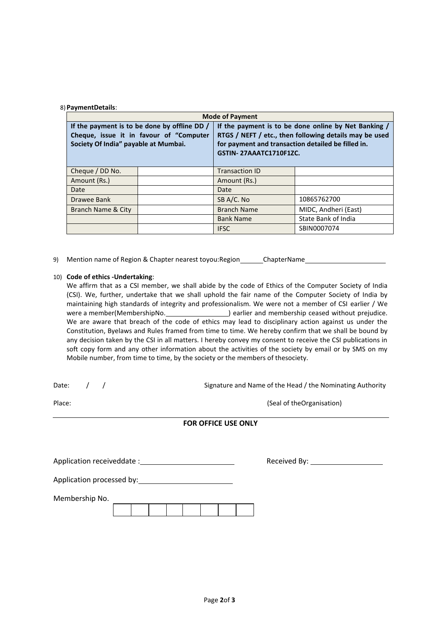#### 8) **PaymentDetails**:

| <b>Mode of Payment</b>               |                                                                                           |                                                                                                                                                                                                |                      |  |  |
|--------------------------------------|-------------------------------------------------------------------------------------------|------------------------------------------------------------------------------------------------------------------------------------------------------------------------------------------------|----------------------|--|--|
| Society Of India" payable at Mumbai. | If the payment is to be done by offline DD $/$<br>Cheque, issue it in favour of "Computer | If the payment is to be done online by Net Banking /<br>RTGS / NEFT / etc., then following details may be used<br>for payment and transaction detailed be filled in.<br>GSTIN-27AAATC1710F1ZC. |                      |  |  |
| Cheque / DD No.                      |                                                                                           | <b>Transaction ID</b>                                                                                                                                                                          |                      |  |  |
| Amount (Rs.)                         |                                                                                           | Amount (Rs.)                                                                                                                                                                                   |                      |  |  |
| Date                                 |                                                                                           | Date                                                                                                                                                                                           |                      |  |  |
| Drawee Bank                          |                                                                                           | SB A/C. No                                                                                                                                                                                     | 10865762700          |  |  |
| Branch Name & City                   |                                                                                           | <b>Branch Name</b>                                                                                                                                                                             | MIDC, Andheri (East) |  |  |
|                                      |                                                                                           | <b>Bank Name</b>                                                                                                                                                                               | State Bank of India  |  |  |
|                                      |                                                                                           | <b>IFSC</b>                                                                                                                                                                                    | SBIN0007074          |  |  |

9) Mention name of Region & Chapter nearest toyou: Region \_\_\_\_\_\_ChapterName \_\_\_\_\_\_\_\_\_\_\_

#### 10) **Code of ethics -Undertaking**:

We affirm that as a CSI member, we shall abide by the code of Ethics of the Computer Society of India (CSI). We, further, undertake that we shall uphold the fair name of the Computer Society of India by maintaining high standards of integrity and professionalism. We were not a member of CSI earlier / We were a member(MembershipNo. ) earlier and membership ceased without prejudice. We are aware that breach of the code of ethics may lead to disciplinary action against us under the Constitution, Byelaws and Rules framed from time to time. We hereby confirm that we shall be bound by any decision taken by the CSI in all matters. I hereby convey my consent to receive the CSI publications in soft copy form and any other information about the activities of the society by email or by SMS on my Mobile number, from time to time, by the society or the members of thesociety.

Date: / / / Signature and Name of the Head / the Nominating Authority Place: (Seal of theOrganisation)  $(Seal of theOrganisation)$ **FOR OFFICE USE ONLY** Application receiveddate : Received By: Application processed by: Membership No.